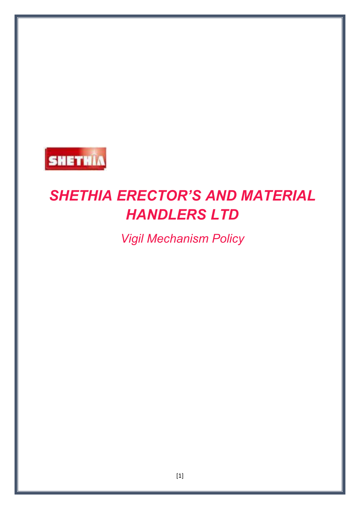

# *SHETHIA ERECTOR'S AND MATERIAL HANDLERS LTD*

*Vigil Mechanism Policy*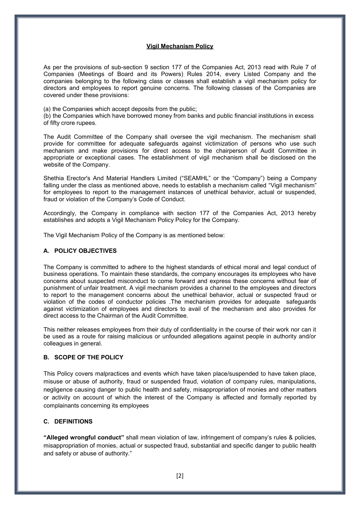#### **Vigil Mechanism Policy**

As per the provisions of sub-section 9 section 177 of the Companies Act, 2013 read with Rule 7 of Companies (Meetings of Board and its Powers) Rules 2014, every Listed Company and the companies belonging to the following class or classes shall establish a vigil mechanism policy for directors and employees to report genuine concerns. The following classes of the Companies are covered under these provisions:

(a) the Companies which accept deposits from the public;

(b) the Companies which have borrowed money from banks and public financial institutions in excess of fifty crore rupees.

The Audit Committee of the Company shall oversee the vigil mechanism. The mechanism shall provide for committee for adequate safeguards against victimization of persons who use such mechanism and make provisions for direct access to the chairperson of Audit Committee in appropriate or exceptional cases. The establishment of vigil mechanism shall be disclosed on the website of the Company.

Shethia Erector's And Material Handlers Limited ("SEAMHL" or the "Company") being a Company falling under the class as mentioned above, needs to establish a mechanism called "Vigil mechanism" for employees to report to the management instances of unethical behavior, actual or suspended, fraud or violation of the Company's Code of Conduct.

Accordingly, the Company in compliance with section 177 of the Companies Act, 2013 hereby establishes and adopts a Vigil Mechanism Policy Policy for the Company.

The Vigil Mechanism Policy of the Company is as mentioned below:

#### **A. POLICY OBJECTIVES**

The Company is committed to adhere to the highest standards of ethical moral and legal conduct of business operations. To maintain these standards, the company encourages its employees who have concerns about suspected misconduct to come forward and express these concerns without fear of punishment of unfair treatment. A vigil mechanism provides a channel to the employees and directors to report to the management concerns about the unethical behavior, actual or suspected fraud or violation of the codes of conductor policies .The mechanism provides for adequate safeguards against victimization of employees and directors to avail of the mechanism and also provides for direct access to the Chairman of the Audit Committee.

This neither releases employees from their duty of confidentiality in the course of their work nor can it be used as a route for raising malicious or unfounded allegations against people in authority and/or colleagues in general.

#### **B. SCOPE OF THE POLICY**

This Policy covers malpractices and events which have taken place/suspended to have taken place, misuse or abuse of authority, fraud or suspended fraud, violation of company rules, manipulations, negligence causing danger to public health and safety, misappropriation of monies and other matters or activity on account of which the interest of the Company is affected and formally reported by complainants concerning its employees

#### **C. DEFINITIONS**

**"Alleged wrongful conduct"** shall mean violation of law, infringement of company's rules & policies, misappropriation of monies, actual or suspected fraud, substantial and specific danger to public health and safety or abuse of authority."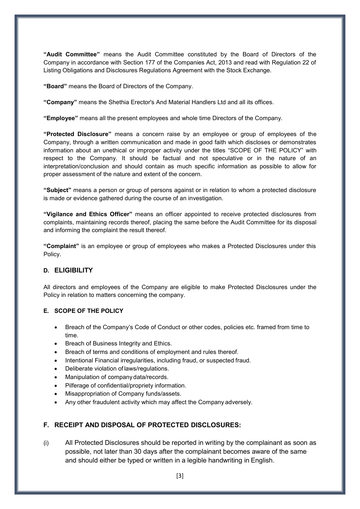**"Audit Committee"** means the Audit Committee constituted by the Board of Directors of the Company in accordance with Section 177 of the Companies Act, 2013 and read with Regulation 22 of Listing Obligations and Disclosures Regulations Agreement with the Stock Exchange.

**"Board"** means the Board of Directors of the Company.

**"Company"** means the Shethia Erector's And Material Handlers Ltd and all its offices.

**"Employee"** means all the present employees and whole time Directors of the Company.

**"Protected Disclosure"** means a concern raise by an employee or group of employees of the Company, through a written communication and made in good faith which discloses or demonstrates information about an unethical or improper activity under the titles "SCOPE OF THE POLICY" with respect to the Company. It should be factual and not speculative or in the nature of an interpretation/conclusion and should contain as much specific information as possible to allow for proper assessment of the nature and extent of the concern.

**"Subject"** means a person or group of persons against or in relation to whom a protected disclosure is made or evidence gathered during the course of an investigation.

**"Vigilance and Ethics Officer"** means an officer appointed to receive protected disclosures from complaints, maintaining records thereof, placing the same before the Audit Committee for its disposal and informing the complaint the result thereof.

**"Complaint"** is an employee or group of employees who makes a Protected Disclosures under this Policy.

## **D. ELIGIBILITY**

All directors and employees of the Company are eligible to make Protected Disclosures under the Policy in relation to matters concerning the company.

#### **E. SCOPE OF THE POLICY**

- Breach of the Company's Code of Conduct or other codes, policies etc. framed from time to time.
- Breach of Business Integrity and Ethics.
- Breach of terms and conditions of employment and rules thereof.
- Intentional Financial irregularities, including fraud, or suspected fraud.
- Deliberate violation of laws/regulations.
- Manipulation of company data/records.
- Pilferage of confidential/propriety information.
- Misappropriation of Company funds/assets.
- Any other fraudulent activity which may affect the Company adversely.

## **F. RECEIPT AND DISPOSAL OF PROTECTED DISCLOSURES:**

(i) All Protected Disclosures should be reported in writing by the complainant as soon as possible, not later than 30 days after the complainant becomes aware of the same and should either be typed or written in a legible handwriting in English.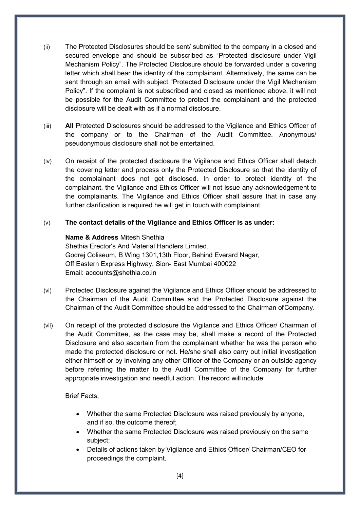- (ii) The Protected Disclosures should be sent/ submitted to the company in a closed and secured envelope and should be subscribed as "Protected disclosure under Vigil Mechanism Policy". The Protected Disclosure should be forwarded under a covering letter which shall bear the identity of the complainant. Alternatively, the same can be sent through an email with subject "Protected Disclosure under the Vigil Mechanism Policy". If the complaint is not subscribed and closed as mentioned above, it will not be possible for the Audit Committee to protect the complainant and the protected disclosure will be dealt with as if a normal disclosure.
- (iii) **All** Protected Disclosures should be addressed to the Vigilance and Ethics Officer of the company or to the Chairman of the Audit Committee. Anonymous/ pseudonymous disclosure shall not be entertained.
- (iv) On receipt of the protected disclosure the Vigilance and Ethics Officer shall detach the covering letter and process only the Protected Disclosure so that the identity of the complainant does not get disclosed. In order to protect identity of the complainant, the Vigilance and Ethics Officer will not issue any acknowledgement to the complainants. The Vigilance and Ethics Officer shall assure that in case any further clarification is required he will get in touch with complainant.

## (v) **The contact details of the Vigilance and Ethics Officer is as under:**

# **Name & Address** Mitesh Shethia

Shethia Erector's And Material Handlers Limited. Godrej Coliseum, B Wing 1301,13th Floor, Behind Everard Nagar, Off Eastern Express Highway, Sion- East Mumbai 400022 Email: [accounts@shethia.co.in](mailto:accounts@shethia.co.in) 

- (vi) Protected Disclosure against the Vigilance and Ethics Officer should be addressed to the Chairman of the Audit Committee and the Protected Disclosure against the Chairman of the Audit Committee should be addressed to the Chairman of Company.
- (vii) On receipt of the protected disclosure the Vigilance and Ethics Officer/ Chairman of the Audit Committee, as the case may be, shall make a record of the Protected Disclosure and also ascertain from the complainant whether he was the person who made the protected disclosure or not. He/she shall also carry out initial investigation either himself or by involving any other Officer of the Company or an outside agency before referring the matter to the Audit Committee of the Company for further appropriate investigation and needful action. The record will include:

## Brief Facts;

- Whether the same Protected Disclosure was raised previously by anyone, and if so, the outcome thereof;
- Whether the same Protected Disclosure was raised previously on the same subject;
- Details of actions taken by Vigilance and Ethics Officer/ Chairman/CEO for proceedings the complaint.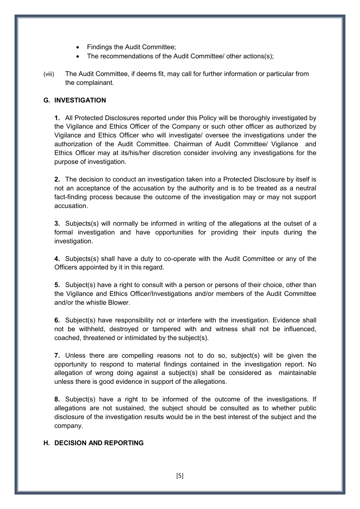- Findings the Audit Committee;
- The recommendations of the Audit Committee/ other actions(s);
- (viii) The Audit Committee, if deems fit, may call for further information or particular from the complainant.

# **G. INVESTIGATION**

**1.** All Protected Disclosures reported under this Policy will be thoroughly investigated by the Vigilance and Ethics Officer of the Company or such other officer as authorized by Vigilance and Ethics Officer who will investigate/ oversee the investigations under the authorization of the Audit Committee. Chairman of Audit Committee/ Vigilance and Ethics Officer may at its/his/her discretion consider involving any investigations for the purpose of investigation.

**2.** The decision to conduct an investigation taken into a Protected Disclosure by itself is not an acceptance of the accusation by the authority and is to be treated as a neutral fact-finding process because the outcome of the investigation may or may not support accusation.

**3.** Subjects(s) will normally be informed in writing of the allegations at the outset of a formal investigation and have opportunities for providing their inputs during the investigation.

**4.** Subjects(s) shall have a duty to co-operate with the Audit Committee or any of the Officers appointed by it in this regard.

**5.** Subject(s) have a right to consult with a person or persons of their choice, other than the Vigilance and Ethics Officer/Investigations and/or members of the Audit Committee and/or the whistle Blower.

**6.** Subject(s) have responsibility not or interfere with the investigation. Evidence shall not be withheld, destroyed or tampered with and witness shall not be influenced, coached, threatened or intimidated by the subject(s).

**7.** Unless there are compelling reasons not to do so, subject(s) will be given the opportunity to respond to material findings contained in the investigation report. No allegation of wrong doing against a subject(s) shall be considered as maintainable unless there is good evidence in support of the allegations.

**8.** Subject(s) have a right to be informed of the outcome of the investigations. If allegations are not sustained, the subject should be consulted as to whether public disclosure of the investigation results would be in the best interest of the subject and the company.

#### **H. DECISION AND REPORTING**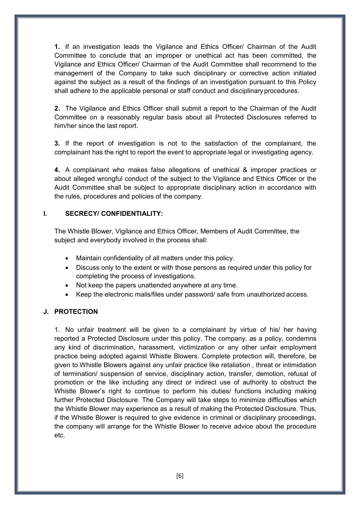**1.** If an investigation leads the Vigilance and Ethics Officer/ Chairman of the Audit Committee to conclude that an improper or unethical act has been committed, the Vigilance and Ethics Officer/ Chairman of the Audit Committee shall recommend to the management of the Company to take such disciplinary or corrective action initiated against the subject as a result of the findings of an investigation pursuant to this Policy shall adhere to the applicable personal or staff conduct and disciplinary procedures.

**2.** The Vigilance and Ethics Officer shall submit a report to the Chairman of the Audit Committee on a reasonably regular basis about all Protected Disclosures referred to him/her since the last report.

**3.** If the report of investigation is not to the satisfaction of the complainant, the complainant has the right to report the event to appropriate legal or investigating agency.

**4.** A complainant who makes false allegations of unethical & improper practices or about alleged wrongful conduct of the subject to the Vigilance and Ethics Officer or the Audit Committee shall be subject to appropriate disciplinary action in accordance with the rules, procedures and policies of the company.

#### **I. SECRECY/ CONFIDENTIALITY:**

The Whistle Blower, Vigilance and Ethics Officer, Members of Audit Committee, the subject and everybody involved in the process shall:

- Maintain confidentiality of all matters under this policy.
- Discuss only to the extent or with those persons as required under this policy for completing the process of investigations.
- Not keep the papers unattended anywhere at any time.
- Keep the electronic mails/files under password/ safe from unauthorized access.

## **J. PROTECTION**

1. No unfair treatment will be given to a complainant by virtue of his/ her having reported a Protected Disclosure under this policy. The company, as a policy, condemns any kind of discrimination, harassment, victimization or any other unfair employment practice being adopted against Whistle Blowers. Complete protection will, therefore, be given to Whistle Blowers against any unfair practice like retaliation , threat or intimidation of termination/ suspension of service, disciplinary action, transfer, demotion, refusal of promotion or the like including any direct or indirect use of authority to obstruct the Whistle Blower's right to continue to perform his duties/ functions including making further Protected Disclosure. The Company will take steps to minimize difficulties which the Whistle Blower may experience as a result of making the Protected Disclosure. Thus, if the Whistle Blower is required to give evidence in criminal or disciplinary proceedings, the company will arrange for the Whistle Blower to receive advice about the procedure etc.